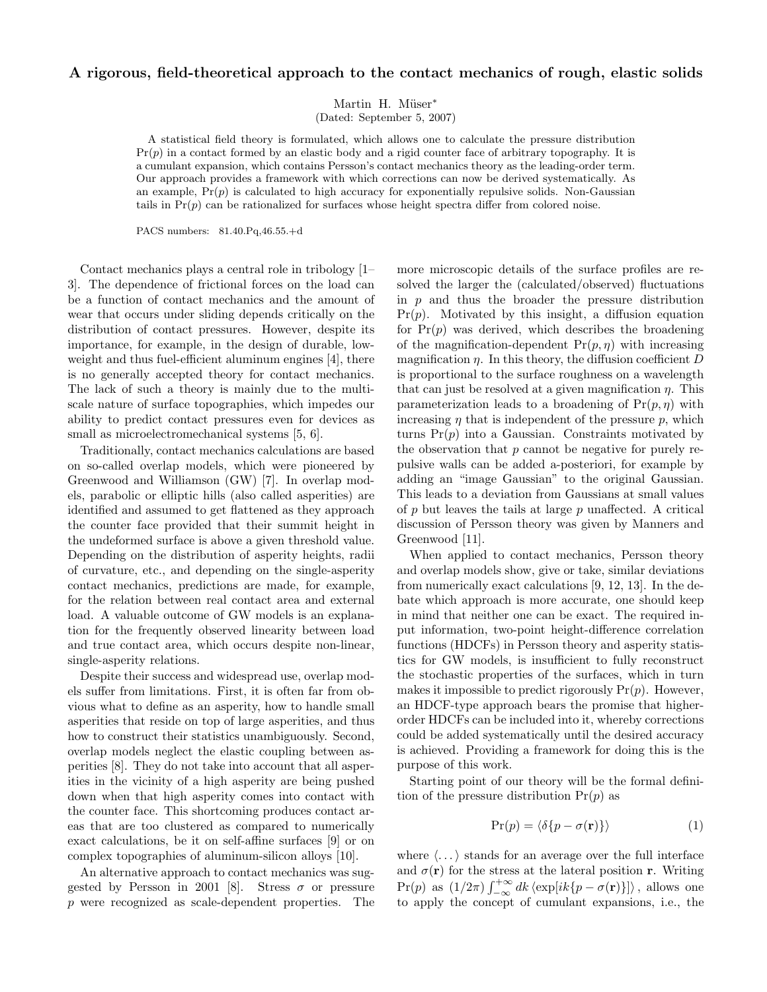## A rigorous, field-theoretical approach to the contact mechanics of rough, elastic solids

Martin H. Müser<sup>\*</sup>

(Dated: September 5, 2007)

A statistical field theory is formulated, which allows one to calculate the pressure distribution  $Pr(p)$  in a contact formed by an elastic body and a rigid counter face of arbitrary topography. It is a cumulant expansion, which contains Persson's contact mechanics theory as the leading-order term. Our approach provides a framework with which corrections can now be derived systematically. As an example,  $Pr(p)$  is calculated to high accuracy for exponentially repulsive solids. Non-Gaussian tails in  $Pr(p)$  can be rationalized for surfaces whose height spectra differ from colored noise.

PACS numbers: 81.40.Pq,46.55.+d

Contact mechanics plays a central role in tribology [1– 3]. The dependence of frictional forces on the load can be a function of contact mechanics and the amount of wear that occurs under sliding depends critically on the distribution of contact pressures. However, despite its importance, for example, in the design of durable, lowweight and thus fuel-efficient aluminum engines [4], there is no generally accepted theory for contact mechanics. The lack of such a theory is mainly due to the multiscale nature of surface topographies, which impedes our ability to predict contact pressures even for devices as small as microelectromechanical systems [5, 6].

Traditionally, contact mechanics calculations are based on so-called overlap models, which were pioneered by Greenwood and Williamson (GW) [7]. In overlap models, parabolic or elliptic hills (also called asperities) are identified and assumed to get flattened as they approach the counter face provided that their summit height in the undeformed surface is above a given threshold value. Depending on the distribution of asperity heights, radii of curvature, etc., and depending on the single-asperity contact mechanics, predictions are made, for example, for the relation between real contact area and external load. A valuable outcome of GW models is an explanation for the frequently observed linearity between load and true contact area, which occurs despite non-linear, single-asperity relations.

Despite their success and widespread use, overlap models suffer from limitations. First, it is often far from obvious what to define as an asperity, how to handle small asperities that reside on top of large asperities, and thus how to construct their statistics unambiguously. Second, overlap models neglect the elastic coupling between asperities [8]. They do not take into account that all asperities in the vicinity of a high asperity are being pushed down when that high asperity comes into contact with the counter face. This shortcoming produces contact areas that are too clustered as compared to numerically exact calculations, be it on self-affine surfaces [9] or on complex topographies of aluminum-silicon alloys [10].

An alternative approach to contact mechanics was suggested by Persson in 2001 [8]. Stress  $\sigma$  or pressure p were recognized as scale-dependent properties. The more microscopic details of the surface profiles are resolved the larger the (calculated/observed) fluctuations in  $p$  and thus the broader the pressure distribution  $Pr(p)$ . Motivated by this insight, a diffusion equation for  $Pr(p)$  was derived, which describes the broadening of the magnification-dependent  $Pr(p, \eta)$  with increasing magnification  $\eta$ . In this theory, the diffusion coefficient D is proportional to the surface roughness on a wavelength that can just be resolved at a given magnification  $\eta$ . This parameterization leads to a broadening of  $Pr(p, \eta)$  with increasing  $\eta$  that is independent of the pressure  $p$ , which turns  $Pr(p)$  into a Gaussian. Constraints motivated by the observation that  $p$  cannot be negative for purely repulsive walls can be added a-posteriori, for example by adding an "image Gaussian" to the original Gaussian. This leads to a deviation from Gaussians at small values of  $p$  but leaves the tails at large  $p$  unaffected. A critical discussion of Persson theory was given by Manners and Greenwood [11].

When applied to contact mechanics, Persson theory and overlap models show, give or take, similar deviations from numerically exact calculations [9, 12, 13]. In the debate which approach is more accurate, one should keep in mind that neither one can be exact. The required input information, two-point height-difference correlation functions (HDCFs) in Persson theory and asperity statistics for GW models, is insufficient to fully reconstruct the stochastic properties of the surfaces, which in turn makes it impossible to predict rigorously  $Pr(p)$ . However, an HDCF-type approach bears the promise that higherorder HDCFs can be included into it, whereby corrections could be added systematically until the desired accuracy is achieved. Providing a framework for doing this is the purpose of this work.

Starting point of our theory will be the formal definition of the pressure distribution  $Pr(p)$  as

$$
Pr(p) = \langle \delta\{p - \sigma(\mathbf{r})\}\rangle \tag{1}
$$

where  $\langle \ldots \rangle$  stands for an average over the full interface and  $\sigma(\mathbf{r})$  for the stress at the lateral position r. Writing Pr(p) as  $(1/2\pi)\int_{-\infty}^{+\infty} dk \langle \exp[ik\{p - \sigma(\mathbf{r})\}] \rangle$ , allows one to apply the concept of cumulant expansions, i.e., the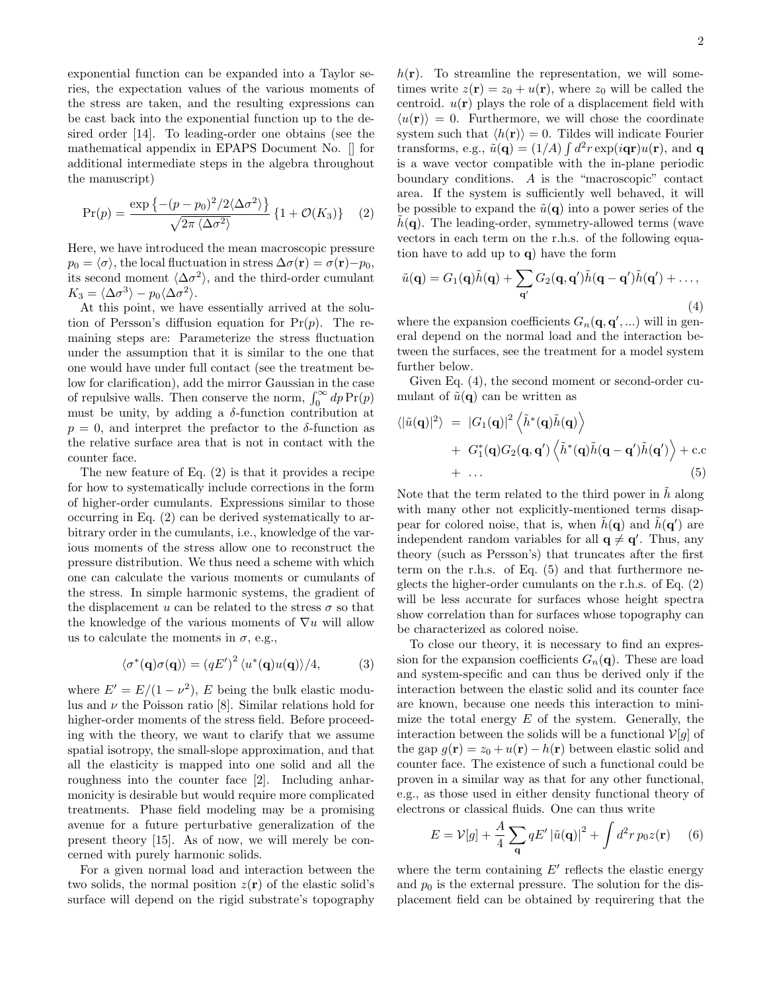exponential function can be expanded into a Taylor series, the expectation values of the various moments of the stress are taken, and the resulting expressions can be cast back into the exponential function up to the desired order [14]. To leading-order one obtains (see the mathematical appendix in EPAPS Document No. [] for additional intermediate steps in the algebra throughout the manuscript)

$$
\Pr(p) = \frac{\exp\left\{-(p-p_0)^2/2\langle\Delta\sigma^2\rangle\right\}}{\sqrt{2\pi\langle\Delta\sigma^2\rangle}}\left\{1+\mathcal{O}(K_3)\right\} \quad (2)
$$

Here, we have introduced the mean macroscopic pressure  $p_0 = \langle \sigma \rangle$ , the local fluctuation in stress  $\Delta \sigma(\mathbf{r}) = \sigma(\mathbf{r}) - p_0$ , its second moment  $\langle \Delta \sigma^2 \rangle$ , and the third-order cumulant  $K_3 = \langle \Delta \sigma^3 \rangle - p_0 \langle \Delta \sigma^2 \rangle.$ 

At this point, we have essentially arrived at the solution of Persson's diffusion equation for  $Pr(p)$ . The remaining steps are: Parameterize the stress fluctuation under the assumption that it is similar to the one that one would have under full contact (see the treatment below for clarification), add the mirror Gaussian in the case of repulsive walls. Then conserve the norm,  $\int_0^\infty dp \Pr(p)$ must be unity, by adding a  $\delta$ -function contribution at  $p = 0$ , and interpret the prefactor to the  $\delta$ -function as the relative surface area that is not in contact with the counter face.

The new feature of Eq. (2) is that it provides a recipe for how to systematically include corrections in the form of higher-order cumulants. Expressions similar to those occurring in Eq. (2) can be derived systematically to arbitrary order in the cumulants, i.e., knowledge of the various moments of the stress allow one to reconstruct the pressure distribution. We thus need a scheme with which one can calculate the various moments or cumulants of the stress. In simple harmonic systems, the gradient of the displacement u can be related to the stress  $\sigma$  so that the knowledge of the various moments of  $\nabla u$  will allow us to calculate the moments in  $\sigma$ , e.g.,

$$
\langle \sigma^*(\mathbf{q})\sigma(\mathbf{q}) \rangle = (qE')^2 \langle u^*(\mathbf{q})u(\mathbf{q}) \rangle / 4, \tag{3}
$$

where  $E' = E/(1 - \nu^2)$ , E being the bulk elastic modulus and  $\nu$  the Poisson ratio [8]. Similar relations hold for higher-order moments of the stress field. Before proceeding with the theory, we want to clarify that we assume spatial isotropy, the small-slope approximation, and that all the elasticity is mapped into one solid and all the roughness into the counter face [2]. Including anharmonicity is desirable but would require more complicated treatments. Phase field modeling may be a promising avenue for a future perturbative generalization of the present theory [15]. As of now, we will merely be concerned with purely harmonic solids.

For a given normal load and interaction between the two solids, the normal position  $z(\mathbf{r})$  of the elastic solid's surface will depend on the rigid substrate's topography

 $h(\mathbf{r})$ . To streamline the representation, we will sometimes write  $z(\mathbf{r}) = z_0 + u(\mathbf{r})$ , where  $z_0$  will be called the centroid.  $u(\mathbf{r})$  plays the role of a displacement field with  $\langle u(\mathbf{r}) \rangle = 0$ . Furthermore, we will chose the coordinate system such that  $\langle h(\mathbf{r}) \rangle = 0$ . Tildes will indicate Fourier transforms, e.g.,  $\tilde{u}(\mathbf{q}) = (1/A) \int d^2 r \exp(i \mathbf{q} \mathbf{r}) u(\mathbf{r})$ , and  $\mathbf{q}$ is a wave vector compatible with the in-plane periodic boundary conditions. A is the "macroscopic" contact area. If the system is sufficiently well behaved, it will be possible to expand the  $\tilde{u}(\mathbf{q})$  into a power series of the  $h(\mathbf{q})$ . The leading-order, symmetry-allowed terms (wave vectors in each term on the r.h.s. of the following equation have to add up to q) have the form

$$
\tilde{u}(\mathbf{q}) = G_1(\mathbf{q})\tilde{h}(\mathbf{q}) + \sum_{\mathbf{q}'} G_2(\mathbf{q}, \mathbf{q}')\tilde{h}(\mathbf{q} - \mathbf{q}')\tilde{h}(\mathbf{q}') + \dots,
$$
\n(4)

where the expansion coefficients  $G_n(\mathbf{q}, \mathbf{q}', \ldots)$  will in general depend on the normal load and the interaction between the surfaces, see the treatment for a model system further below.

Given Eq. (4), the second moment or second-order cumulant of  $\tilde{u}(\mathbf{q})$  can be written as

$$
\langle |\tilde{u}(\mathbf{q})|^2 \rangle = |G_1(\mathbf{q})|^2 \langle \tilde{h}^*(\mathbf{q}) \tilde{h}(\mathbf{q}) \rangle + G_1^*(\mathbf{q}) G_2(\mathbf{q}, \mathbf{q}') \langle \tilde{h}^*(\mathbf{q}) \tilde{h}(\mathbf{q} - \mathbf{q}') \tilde{h}(\mathbf{q}') \rangle + \text{c.c} + \dots
$$
(5)

Note that the term related to the third power in  $\tilde{h}$  along with many other not explicitly-mentioned terms disappear for colored noise, that is, when  $\tilde{h}(\mathbf{q})$  and  $\tilde{h}(\mathbf{q}')$  are independent random variables for all  $q \neq q'$ . Thus, any theory (such as Persson's) that truncates after the first term on the r.h.s. of Eq. (5) and that furthermore neglects the higher-order cumulants on the r.h.s. of Eq. (2) will be less accurate for surfaces whose height spectra show correlation than for surfaces whose topography can be characterized as colored noise.

To close our theory, it is necessary to find an expression for the expansion coefficients  $G_n(\mathbf{q})$ . These are load and system-specific and can thus be derived only if the interaction between the elastic solid and its counter face are known, because one needs this interaction to minimize the total energy  $E$  of the system. Generally, the interaction between the solids will be a functional  $V[g]$  of the gap  $g(\mathbf{r}) = z_0 + u(\mathbf{r}) - h(\mathbf{r})$  between elastic solid and counter face. The existence of such a functional could be proven in a similar way as that for any other functional, e.g., as those used in either density functional theory of electrons or classical fluids. One can thus write

$$
E = \mathcal{V}[g] + \frac{A}{4} \sum_{\mathbf{q}} qE' |\tilde{u}(\mathbf{q})|^2 + \int d^2r \, p_0 z(\mathbf{r}) \tag{6}
$$

where the term containing  $E'$  reflects the elastic energy and  $p_0$  is the external pressure. The solution for the displacement field can be obtained by requirering that the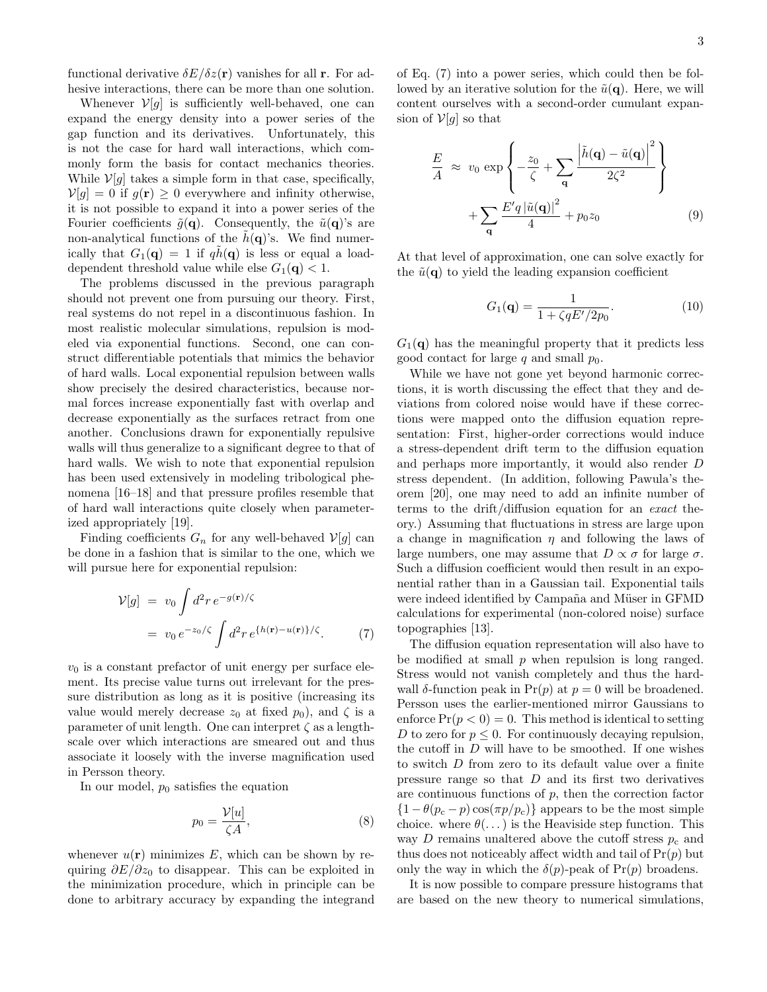functional derivative  $\delta E/\delta z(\mathbf{r})$  vanishes for all **r**. For adhesive interactions, there can be more than one solution.

Whenever  $V[g]$  is sufficiently well-behaved, one can expand the energy density into a power series of the gap function and its derivatives. Unfortunately, this is not the case for hard wall interactions, which commonly form the basis for contact mechanics theories. While  $V[g]$  takes a simple form in that case, specifically,  $\mathcal{V}[q] = 0$  if  $q(\mathbf{r}) \geq 0$  everywhere and infinity otherwise, it is not possible to expand it into a power series of the Fourier coefficients  $\tilde{g}(\mathbf{q})$ . Consequently, the  $\tilde{u}(\mathbf{q})$ 's are non-analytical functions of the  $h(\mathbf{q})$ 's. We find numerically that  $G_1(\mathbf{q}) = 1$  if  $q h(\mathbf{q})$  is less or equal a loaddependent threshold value while else  $G_1(\mathbf{q}) < 1$ .

The problems discussed in the previous paragraph should not prevent one from pursuing our theory. First, real systems do not repel in a discontinuous fashion. In most realistic molecular simulations, repulsion is modeled via exponential functions. Second, one can construct differentiable potentials that mimics the behavior of hard walls. Local exponential repulsion between walls show precisely the desired characteristics, because normal forces increase exponentially fast with overlap and decrease exponentially as the surfaces retract from one another. Conclusions drawn for exponentially repulsive walls will thus generalize to a significant degree to that of hard walls. We wish to note that exponential repulsion has been used extensively in modeling tribological phenomena [16–18] and that pressure profiles resemble that of hard wall interactions quite closely when parameterized appropriately [19].

Finding coefficients  $G_n$  for any well-behaved  $V[g]$  can be done in a fashion that is similar to the one, which we will pursue here for exponential repulsion:

$$
\mathcal{V}[g] = v_0 \int d^2 r \, e^{-g(\mathbf{r})/\zeta} \n= v_0 \, e^{-z_0/\zeta} \int d^2 r \, e^{\{h(\mathbf{r}) - u(\mathbf{r})\}/\zeta}.
$$
\n(7)

 $v_0$  is a constant prefactor of unit energy per surface element. Its precise value turns out irrelevant for the pressure distribution as long as it is positive (increasing its value would merely decrease  $z_0$  at fixed  $p_0$ ), and  $\zeta$  is a parameter of unit length. One can interpret  $\zeta$  as a lengthscale over which interactions are smeared out and thus associate it loosely with the inverse magnification used in Persson theory.

In our model,  $p_0$  satisfies the equation

$$
p_0 = \frac{\mathcal{V}[u]}{\zeta A},\tag{8}
$$

whenever  $u(\mathbf{r})$  minimizes E, which can be shown by requiring  $\partial E/\partial z_0$  to disappear. This can be exploited in the minimization procedure, which in principle can be done to arbitrary accuracy by expanding the integrand of Eq. (7) into a power series, which could then be followed by an iterative solution for the  $\tilde{u}(\mathbf{q})$ . Here, we will content ourselves with a second-order cumulant expansion of  $V[g]$  so that

$$
\frac{E}{A} \approx v_0 \exp\left\{-\frac{z_0}{\zeta} + \sum_{\mathbf{q}} \frac{\left|\tilde{h}(\mathbf{q}) - \tilde{u}(\mathbf{q})\right|^2}{2\zeta^2}\right\}
$$
\n
$$
+ \sum_{\mathbf{q}} \frac{E'q \left|\tilde{u}(\mathbf{q})\right|^2}{4} + p_0 z_0 \tag{9}
$$

At that level of approximation, one can solve exactly for the  $\tilde{u}(\mathbf{q})$  to yield the leading expansion coefficient

$$
G_1(\mathbf{q}) = \frac{1}{1 + \zeta q E'/2 p_0}.\tag{10}
$$

 $G_1(q)$  has the meaningful property that it predicts less good contact for large  $q$  and small  $p_0$ .

While we have not gone yet beyond harmonic corrections, it is worth discussing the effect that they and deviations from colored noise would have if these corrections were mapped onto the diffusion equation representation: First, higher-order corrections would induce a stress-dependent drift term to the diffusion equation and perhaps more importantly, it would also render D stress dependent. (In addition, following Pawula's theorem [20], one may need to add an infinite number of terms to the drift/diffusion equation for an exact theory.) Assuming that fluctuations in stress are large upon a change in magnification  $\eta$  and following the laws of large numbers, one may assume that  $D \propto \sigma$  for large  $\sigma$ . Such a diffusion coefficient would then result in an exponential rather than in a Gaussian tail. Exponential tails were indeed identified by Campaña and Müser in GFMD calculations for experimental (non-colored noise) surface topographies [13].

The diffusion equation representation will also have to be modified at small  $p$  when repulsion is long ranged. Stress would not vanish completely and thus the hardwall  $\delta$ -function peak in Pr(p) at  $p = 0$  will be broadened. Persson uses the earlier-mentioned mirror Gaussians to enforce  $Pr(p < 0) = 0$ . This method is identical to setting D to zero for  $p \leq 0$ . For continuously decaying repulsion, the cutoff in  $D$  will have to be smoothed. If one wishes to switch D from zero to its default value over a finite pressure range so that  $D$  and its first two derivatives are continuous functions of  $p$ , then the correction factor  ${1-\theta(p_c-p)\cos(\pi p/p_c)}$  appears to be the most simple choice. where  $\theta(\ldots)$  is the Heaviside step function. This way D remains unaltered above the cutoff stress  $p_c$  and thus does not noticeably affect width and tail of  $Pr(p)$  but only the way in which the  $\delta(p)$ -peak of  $Pr(p)$  broadens.

It is now possible to compare pressure histograms that are based on the new theory to numerical simulations,